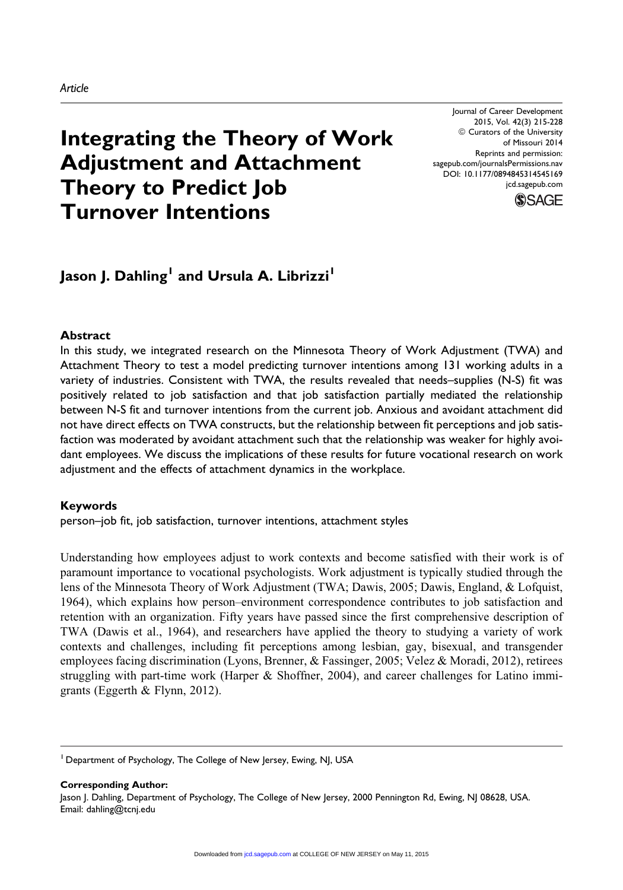Integrating the Theory of Work Adjustment and Attachment Theory to Predict Job Turnover Intentions

Journal of Career Development 2015, Vol. 42(3) 215-228  $©$  Curators of the University of Missouri 2014 Reprints and permission: [sagepub.com/journalsPermissions.nav](http://www.sagepub.com/journalsPermissions.nav) DOI: 10.1177/0894845314545169 [jcd.sagepub.com](http://jcd.sagepub.com)



# Jason J. Dahling<sup>1</sup> and Ursula A. Librizzi<sup>1</sup>

### Abstract

In this study, we integrated research on the Minnesota Theory of Work Adjustment (TWA) and Attachment Theory to test a model predicting turnover intentions among 131 working adults in a variety of industries. Consistent with TWA, the results revealed that needs–supplies (N-S) fit was positively related to job satisfaction and that job satisfaction partially mediated the relationship between N-S fit and turnover intentions from the current job. Anxious and avoidant attachment did not have direct effects on TWA constructs, but the relationship between fit perceptions and job satisfaction was moderated by avoidant attachment such that the relationship was weaker for highly avoidant employees. We discuss the implications of these results for future vocational research on work adjustment and the effects of attachment dynamics in the workplace.

### Keywords

person–job fit, job satisfaction, turnover intentions, attachment styles

Understanding how employees adjust to work contexts and become satisfied with their work is of paramount importance to vocational psychologists. Work adjustment is typically studied through the lens of the Minnesota Theory of Work Adjustment (TWA; Dawis, 2005; Dawis, England, & Lofquist, 1964), which explains how person–environment correspondence contributes to job satisfaction and retention with an organization. Fifty years have passed since the first comprehensive description of TWA (Dawis et al., 1964), and researchers have applied the theory to studying a variety of work contexts and challenges, including fit perceptions among lesbian, gay, bisexual, and transgender employees facing discrimination (Lyons, Brenner, & Fassinger, 2005; Velez & Moradi, 2012), retirees struggling with part-time work (Harper & Shoffner, 2004), and career challenges for Latino immigrants (Eggerth & Flynn, 2012).

Corresponding Author: Jason J. Dahling, Department of Psychology, The College of New Jersey, 2000 Pennington Rd, Ewing, NJ 08628, USA. Email: dahling@tcnj.edu

<sup>1</sup> Department of Psychology, The College of New Jersey, Ewing, NJ, USA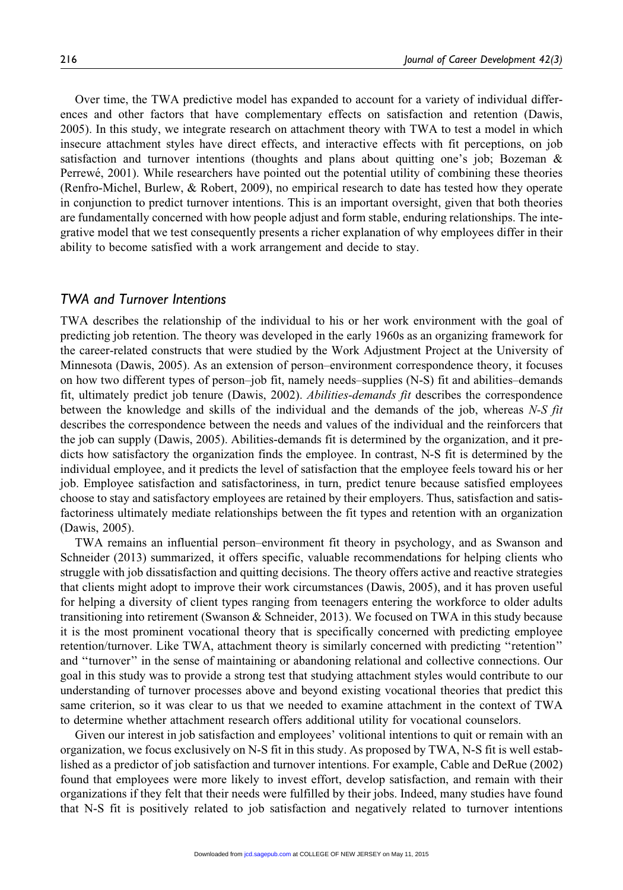Over time, the TWA predictive model has expanded to account for a variety of individual differences and other factors that have complementary effects on satisfaction and retention (Dawis, 2005). In this study, we integrate research on attachment theory with TWA to test a model in which insecure attachment styles have direct effects, and interactive effects with fit perceptions, on job satisfaction and turnover intentions (thoughts and plans about quitting one's job; Bozeman & Perrewé, 2001). While researchers have pointed out the potential utility of combining these theories (Renfro-Michel, Burlew, & Robert, 2009), no empirical research to date has tested how they operate in conjunction to predict turnover intentions. This is an important oversight, given that both theories are fundamentally concerned with how people adjust and form stable, enduring relationships. The integrative model that we test consequently presents a richer explanation of why employees differ in their ability to become satisfied with a work arrangement and decide to stay.

### TWA and Turnover Intentions

TWA describes the relationship of the individual to his or her work environment with the goal of predicting job retention. The theory was developed in the early 1960s as an organizing framework for the career-related constructs that were studied by the Work Adjustment Project at the University of Minnesota (Dawis, 2005). As an extension of person–environment correspondence theory, it focuses on how two different types of person–job fit, namely needs–supplies (N-S) fit and abilities–demands fit, ultimately predict job tenure (Dawis, 2002). Abilities-demands fit describes the correspondence between the knowledge and skills of the individual and the demands of the job, whereas  $N-S$  fit describes the correspondence between the needs and values of the individual and the reinforcers that the job can supply (Dawis, 2005). Abilities-demands fit is determined by the organization, and it predicts how satisfactory the organization finds the employee. In contrast, N-S fit is determined by the individual employee, and it predicts the level of satisfaction that the employee feels toward his or her job. Employee satisfaction and satisfactoriness, in turn, predict tenure because satisfied employees choose to stay and satisfactory employees are retained by their employers. Thus, satisfaction and satisfactoriness ultimately mediate relationships between the fit types and retention with an organization (Dawis, 2005).

TWA remains an influential person–environment fit theory in psychology, and as Swanson and Schneider (2013) summarized, it offers specific, valuable recommendations for helping clients who struggle with job dissatisfaction and quitting decisions. The theory offers active and reactive strategies that clients might adopt to improve their work circumstances (Dawis, 2005), and it has proven useful for helping a diversity of client types ranging from teenagers entering the workforce to older adults transitioning into retirement (Swanson & Schneider, 2013). We focused on TWA in this study because it is the most prominent vocational theory that is specifically concerned with predicting employee retention/turnover. Like TWA, attachment theory is similarly concerned with predicting ''retention'' and ''turnover'' in the sense of maintaining or abandoning relational and collective connections. Our goal in this study was to provide a strong test that studying attachment styles would contribute to our understanding of turnover processes above and beyond existing vocational theories that predict this same criterion, so it was clear to us that we needed to examine attachment in the context of TWA to determine whether attachment research offers additional utility for vocational counselors.

Given our interest in job satisfaction and employees' volitional intentions to quit or remain with an organization, we focus exclusively on N-S fit in this study. As proposed by TWA, N-S fit is well established as a predictor of job satisfaction and turnover intentions. For example, Cable and DeRue (2002) found that employees were more likely to invest effort, develop satisfaction, and remain with their organizations if they felt that their needs were fulfilled by their jobs. Indeed, many studies have found that N-S fit is positively related to job satisfaction and negatively related to turnover intentions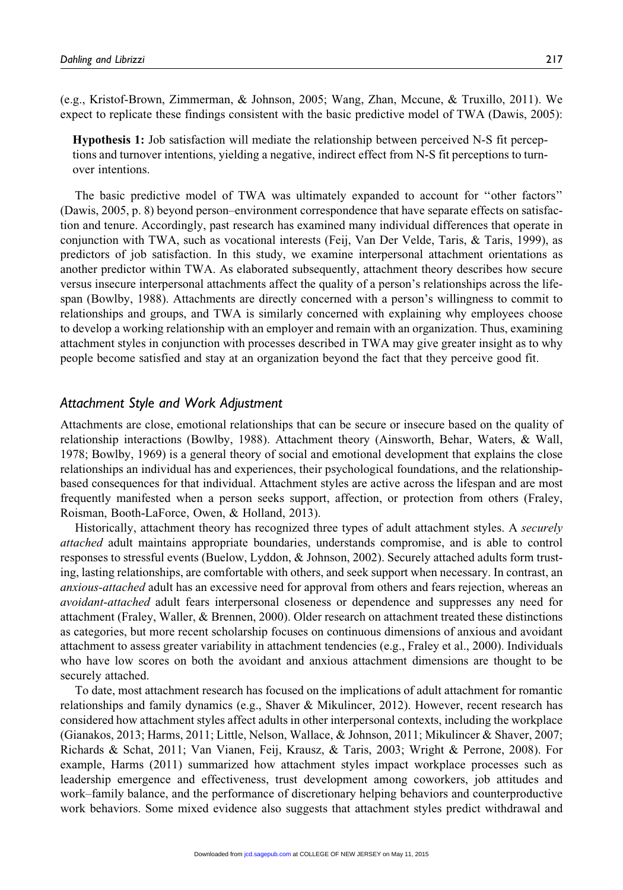(e.g., Kristof-Brown, Zimmerman, & Johnson, 2005; Wang, Zhan, Mccune, & Truxillo, 2011). We expect to replicate these findings consistent with the basic predictive model of TWA (Dawis, 2005):

Hypothesis 1: Job satisfaction will mediate the relationship between perceived N-S fit perceptions and turnover intentions, yielding a negative, indirect effect from N-S fit perceptions to turnover intentions.

The basic predictive model of TWA was ultimately expanded to account for ''other factors'' (Dawis, 2005, p. 8) beyond person–environment correspondence that have separate effects on satisfaction and tenure. Accordingly, past research has examined many individual differences that operate in conjunction with TWA, such as vocational interests (Feij, Van Der Velde, Taris, & Taris, 1999), as predictors of job satisfaction. In this study, we examine interpersonal attachment orientations as another predictor within TWA. As elaborated subsequently, attachment theory describes how secure versus insecure interpersonal attachments affect the quality of a person's relationships across the lifespan (Bowlby, 1988). Attachments are directly concerned with a person's willingness to commit to relationships and groups, and TWA is similarly concerned with explaining why employees choose to develop a working relationship with an employer and remain with an organization. Thus, examining attachment styles in conjunction with processes described in TWA may give greater insight as to why people become satisfied and stay at an organization beyond the fact that they perceive good fit.

### Attachment Style and Work Adjustment

Attachments are close, emotional relationships that can be secure or insecure based on the quality of relationship interactions (Bowlby, 1988). Attachment theory (Ainsworth, Behar, Waters, & Wall, 1978; Bowlby, 1969) is a general theory of social and emotional development that explains the close relationships an individual has and experiences, their psychological foundations, and the relationshipbased consequences for that individual. Attachment styles are active across the lifespan and are most frequently manifested when a person seeks support, affection, or protection from others (Fraley, Roisman, Booth-LaForce, Owen, & Holland, 2013).

Historically, attachment theory has recognized three types of adult attachment styles. A securely attached adult maintains appropriate boundaries, understands compromise, and is able to control responses to stressful events (Buelow, Lyddon, & Johnson, 2002). Securely attached adults form trusting, lasting relationships, are comfortable with others, and seek support when necessary. In contrast, an anxious-attached adult has an excessive need for approval from others and fears rejection, whereas an avoidant-attached adult fears interpersonal closeness or dependence and suppresses any need for attachment (Fraley, Waller, & Brennen, 2000). Older research on attachment treated these distinctions as categories, but more recent scholarship focuses on continuous dimensions of anxious and avoidant attachment to assess greater variability in attachment tendencies (e.g., Fraley et al., 2000). Individuals who have low scores on both the avoidant and anxious attachment dimensions are thought to be securely attached.

To date, most attachment research has focused on the implications of adult attachment for romantic relationships and family dynamics (e.g., Shaver & Mikulincer, 2012). However, recent research has considered how attachment styles affect adults in other interpersonal contexts, including the workplace (Gianakos, 2013; Harms, 2011; Little, Nelson, Wallace, & Johnson, 2011; Mikulincer & Shaver, 2007; Richards & Schat, 2011; Van Vianen, Feij, Krausz, & Taris, 2003; Wright & Perrone, 2008). For example, Harms (2011) summarized how attachment styles impact workplace processes such as leadership emergence and effectiveness, trust development among coworkers, job attitudes and work–family balance, and the performance of discretionary helping behaviors and counterproductive work behaviors. Some mixed evidence also suggests that attachment styles predict withdrawal and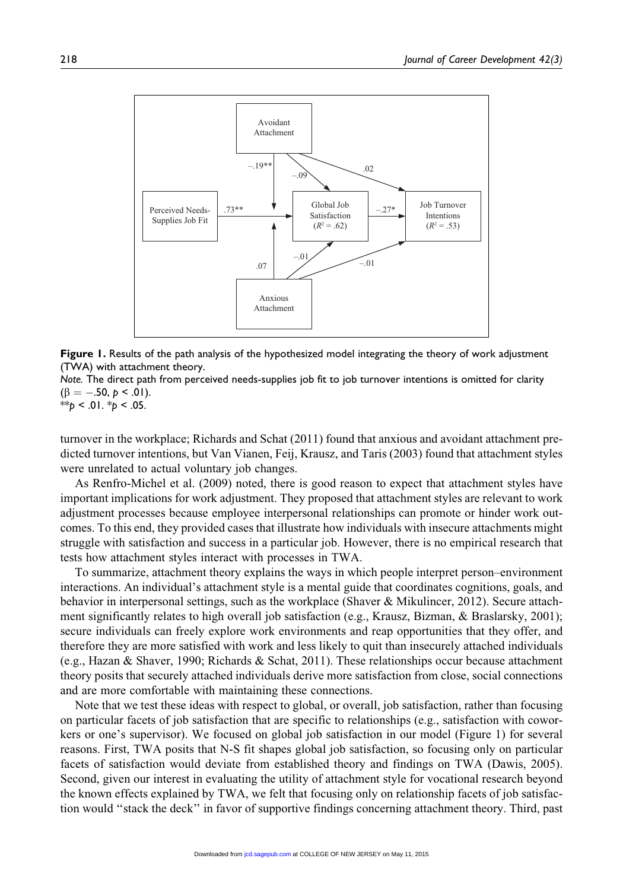

Figure 1. Results of the path analysis of the hypothesized model integrating the theory of work adjustment (TWA) with attachment theory.

Note. The direct path from perceived needs-supplies job fit to job turnover intentions is omitted for clarity  $(\beta = -.50, p < .01).$ 

\*\* $p < .01$ . \* $p < .05$ .

turnover in the workplace; Richards and Schat (2011) found that anxious and avoidant attachment predicted turnover intentions, but Van Vianen, Feij, Krausz, and Taris (2003) found that attachment styles were unrelated to actual voluntary job changes.

As Renfro-Michel et al. (2009) noted, there is good reason to expect that attachment styles have important implications for work adjustment. They proposed that attachment styles are relevant to work adjustment processes because employee interpersonal relationships can promote or hinder work outcomes. To this end, they provided cases that illustrate how individuals with insecure attachments might struggle with satisfaction and success in a particular job. However, there is no empirical research that tests how attachment styles interact with processes in TWA.

To summarize, attachment theory explains the ways in which people interpret person–environment interactions. An individual's attachment style is a mental guide that coordinates cognitions, goals, and behavior in interpersonal settings, such as the workplace (Shaver & Mikulincer, 2012). Secure attachment significantly relates to high overall job satisfaction (e.g., Krausz, Bizman, & Braslarsky, 2001); secure individuals can freely explore work environments and reap opportunities that they offer, and therefore they are more satisfied with work and less likely to quit than insecurely attached individuals (e.g., Hazan & Shaver, 1990; Richards & Schat, 2011). These relationships occur because attachment theory posits that securely attached individuals derive more satisfaction from close, social connections and are more comfortable with maintaining these connections.

Note that we test these ideas with respect to global, or overall, job satisfaction, rather than focusing on particular facets of job satisfaction that are specific to relationships (e.g., satisfaction with coworkers or one's supervisor). We focused on global job satisfaction in our model (Figure 1) for several reasons. First, TWA posits that N-S fit shapes global job satisfaction, so focusing only on particular facets of satisfaction would deviate from established theory and findings on TWA (Dawis, 2005). Second, given our interest in evaluating the utility of attachment style for vocational research beyond the known effects explained by TWA, we felt that focusing only on relationship facets of job satisfaction would ''stack the deck'' in favor of supportive findings concerning attachment theory. Third, past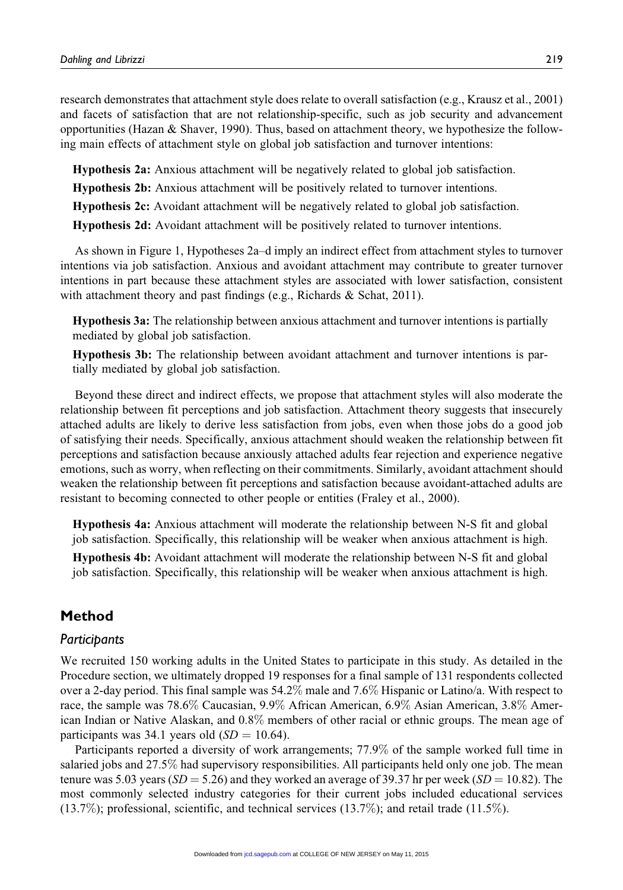research demonstrates that attachment style does relate to overall satisfaction (e.g., Krausz et al., 2001) and facets of satisfaction that are not relationship-specific, such as job security and advancement opportunities (Hazan & Shaver, 1990). Thus, based on attachment theory, we hypothesize the following main effects of attachment style on global job satisfaction and turnover intentions:

Hypothesis 2a: Anxious attachment will be negatively related to global job satisfaction.

Hypothesis 2b: Anxious attachment will be positively related to turnover intentions.

Hypothesis 2c: Avoidant attachment will be negatively related to global job satisfaction.

Hypothesis 2d: Avoidant attachment will be positively related to turnover intentions.

As shown in Figure 1, Hypotheses 2a–d imply an indirect effect from attachment styles to turnover intentions via job satisfaction. Anxious and avoidant attachment may contribute to greater turnover intentions in part because these attachment styles are associated with lower satisfaction, consistent with attachment theory and past findings (e.g., Richards & Schat, 2011).

Hypothesis 3a: The relationship between anxious attachment and turnover intentions is partially mediated by global job satisfaction.

Hypothesis 3b: The relationship between avoidant attachment and turnover intentions is partially mediated by global job satisfaction.

Beyond these direct and indirect effects, we propose that attachment styles will also moderate the relationship between fit perceptions and job satisfaction. Attachment theory suggests that insecurely attached adults are likely to derive less satisfaction from jobs, even when those jobs do a good job of satisfying their needs. Specifically, anxious attachment should weaken the relationship between fit perceptions and satisfaction because anxiously attached adults fear rejection and experience negative emotions, such as worry, when reflecting on their commitments. Similarly, avoidant attachment should weaken the relationship between fit perceptions and satisfaction because avoidant-attached adults are resistant to becoming connected to other people or entities (Fraley et al., 2000).

Hypothesis 4a: Anxious attachment will moderate the relationship between N-S fit and global job satisfaction. Specifically, this relationship will be weaker when anxious attachment is high.

Hypothesis 4b: Avoidant attachment will moderate the relationship between N-S fit and global job satisfaction. Specifically, this relationship will be weaker when anxious attachment is high.

# Method

#### Participants

We recruited 150 working adults in the United States to participate in this study. As detailed in the Procedure section, we ultimately dropped 19 responses for a final sample of 131 respondents collected over a 2-day period. This final sample was 54.2% male and 7.6% Hispanic or Latino/a. With respect to race, the sample was 78.6% Caucasian, 9.9% African American, 6.9% Asian American, 3.8% American Indian or Native Alaskan, and 0.8% members of other racial or ethnic groups. The mean age of participants was 34.1 years old  $(SD = 10.64)$ .

Participants reported a diversity of work arrangements; 77.9% of the sample worked full time in salaried jobs and 27.5% had supervisory responsibilities. All participants held only one job. The mean tenure was 5.03 years ( $SD = 5.26$ ) and they worked an average of 39.37 hr per week ( $SD = 10.82$ ). The most commonly selected industry categories for their current jobs included educational services (13.7%); professional, scientific, and technical services (13.7%); and retail trade (11.5%).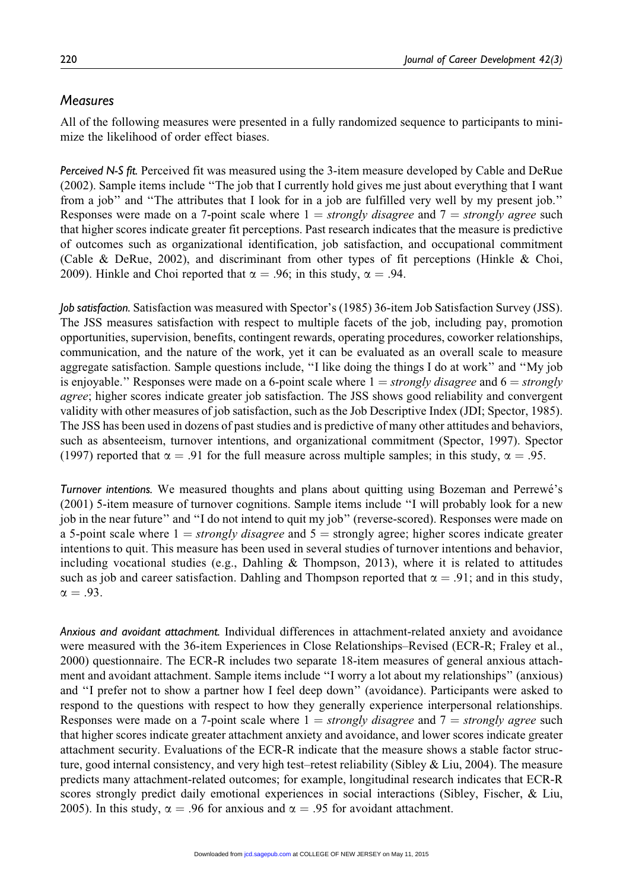# **Measures**

All of the following measures were presented in a fully randomized sequence to participants to minimize the likelihood of order effect biases.

Perceived N-S fit. Perceived fit was measured using the 3-item measure developed by Cable and DeRue (2002). Sample items include ''The job that I currently hold gives me just about everything that I want from a job'' and ''The attributes that I look for in a job are fulfilled very well by my present job.'' Responses were made on a 7-point scale where  $1 = strongly disagree$  and  $7 = strongly agree$  such that higher scores indicate greater fit perceptions. Past research indicates that the measure is predictive of outcomes such as organizational identification, job satisfaction, and occupational commitment (Cable & DeRue, 2002), and discriminant from other types of fit perceptions (Hinkle & Choi, 2009). Hinkle and Choi reported that  $\alpha = .96$ ; in this study,  $\alpha = .94$ .

Job satisfaction. Satisfaction was measured with Spector's (1985) 36-item Job Satisfaction Survey (JSS). The JSS measures satisfaction with respect to multiple facets of the job, including pay, promotion opportunities, supervision, benefits, contingent rewards, operating procedures, coworker relationships, communication, and the nature of the work, yet it can be evaluated as an overall scale to measure aggregate satisfaction. Sample questions include, ''I like doing the things I do at work'' and ''My job is enjoyable." Responses were made on a 6-point scale where  $1 = strongly disagree$  and  $6 = strongly$ agree; higher scores indicate greater job satisfaction. The JSS shows good reliability and convergent validity with other measures of job satisfaction, such as the Job Descriptive Index (JDI; Spector, 1985). The JSS has been used in dozens of past studies and is predictive of many other attitudes and behaviors, such as absenteeism, turnover intentions, and organizational commitment (Spector, 1997). Spector (1997) reported that  $\alpha = .91$  for the full measure across multiple samples; in this study,  $\alpha = .95$ .

Turnover intentions. We measured thoughts and plans about quitting using Bozeman and Perrewe´'s (2001) 5-item measure of turnover cognitions. Sample items include ''I will probably look for a new job in the near future'' and ''I do not intend to quit my job'' (reverse-scored). Responses were made on a 5-point scale where  $1 = strongly disagree$  and  $5 =$  strongly agree; higher scores indicate greater intentions to quit. This measure has been used in several studies of turnover intentions and behavior, including vocational studies (e.g., Dahling  $&$  Thompson, 2013), where it is related to attitudes such as job and career satisfaction. Dahling and Thompson reported that  $\alpha = .91$ ; and in this study,  $\alpha = .93$ .

Anxious and avoidant attachment. Individual differences in attachment-related anxiety and avoidance were measured with the 36-item Experiences in Close Relationships–Revised (ECR-R; Fraley et al., 2000) questionnaire. The ECR-R includes two separate 18-item measures of general anxious attachment and avoidant attachment. Sample items include ''I worry a lot about my relationships'' (anxious) and ''I prefer not to show a partner how I feel deep down'' (avoidance). Participants were asked to respond to the questions with respect to how they generally experience interpersonal relationships. Responses were made on a 7-point scale where  $1 = strongly disagree$  and  $7 = strongly agree$  such that higher scores indicate greater attachment anxiety and avoidance, and lower scores indicate greater attachment security. Evaluations of the ECR-R indicate that the measure shows a stable factor structure, good internal consistency, and very high test–retest reliability (Sibley & Liu, 2004). The measure predicts many attachment-related outcomes; for example, longitudinal research indicates that ECR-R scores strongly predict daily emotional experiences in social interactions (Sibley, Fischer, & Liu, 2005). In this study,  $\alpha = .96$  for anxious and  $\alpha = .95$  for avoidant attachment.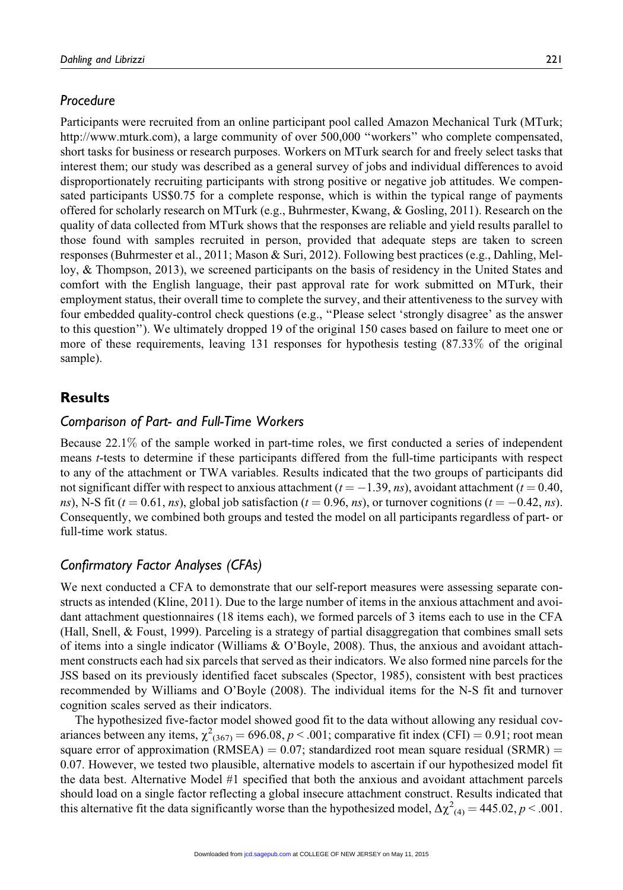# Procedure

Participants were recruited from an online participant pool called Amazon Mechanical Turk (MTurk; http://www.mturk.com), a large community of over 500,000 ''workers'' who complete compensated, short tasks for business or research purposes. Workers on MTurk search for and freely select tasks that interest them; our study was described as a general survey of jobs and individual differences to avoid disproportionately recruiting participants with strong positive or negative job attitudes. We compensated participants US\$0.75 for a complete response, which is within the typical range of payments offered for scholarly research on MTurk (e.g., Buhrmester, Kwang, & Gosling, 2011). Research on the quality of data collected from MTurk shows that the responses are reliable and yield results parallel to those found with samples recruited in person, provided that adequate steps are taken to screen responses (Buhrmester et al., 2011; Mason & Suri, 2012). Following best practices (e.g., Dahling, Melloy, & Thompson, 2013), we screened participants on the basis of residency in the United States and comfort with the English language, their past approval rate for work submitted on MTurk, their employment status, their overall time to complete the survey, and their attentiveness to the survey with four embedded quality-control check questions (e.g., ''Please select 'strongly disagree' as the answer to this question''). We ultimately dropped 19 of the original 150 cases based on failure to meet one or more of these requirements, leaving 131 responses for hypothesis testing (87.33% of the original sample).

# Results

# Comparison of Part- and Full-Time Workers

Because 22.1% of the sample worked in part-time roles, we first conducted a series of independent means t-tests to determine if these participants differed from the full-time participants with respect to any of the attachment or TWA variables. Results indicated that the two groups of participants did not significant differ with respect to anxious attachment ( $t = -1.39$ , ns), avoidant attachment ( $t = 0.40$ , ns), N-S fit ( $t = 0.61$ , ns), global job satisfaction ( $t = 0.96$ , ns), or turnover cognitions ( $t = -0.42$ , ns). Consequently, we combined both groups and tested the model on all participants regardless of part- or full-time work status.

# Confirmatory Factor Analyses (CFAs)

We next conducted a CFA to demonstrate that our self-report measures were assessing separate constructs as intended (Kline, 2011). Due to the large number of items in the anxious attachment and avoidant attachment questionnaires (18 items each), we formed parcels of 3 items each to use in the CFA (Hall, Snell, & Foust, 1999). Parceling is a strategy of partial disaggregation that combines small sets of items into a single indicator (Williams & O'Boyle, 2008). Thus, the anxious and avoidant attachment constructs each had six parcels that served as their indicators. We also formed nine parcels for the JSS based on its previously identified facet subscales (Spector, 1985), consistent with best practices recommended by Williams and O'Boyle (2008). The individual items for the N-S fit and turnover cognition scales served as their indicators.

The hypothesized five-factor model showed good fit to the data without allowing any residual covariances between any items,  $\chi^2_{(367)} = 696.08$ ,  $p < .001$ ; comparative fit index (CFI) = 0.91; root mean square error of approximation (RMSEA) =  $0.07$ ; standardized root mean square residual (SRMR) = 0.07. However, we tested two plausible, alternative models to ascertain if our hypothesized model fit the data best. Alternative Model #1 specified that both the anxious and avoidant attachment parcels should load on a single factor reflecting a global insecure attachment construct. Results indicated that this alternative fit the data significantly worse than the hypothesized model,  $\Delta \chi^2_{(4)} = 445.02, p < .001$ .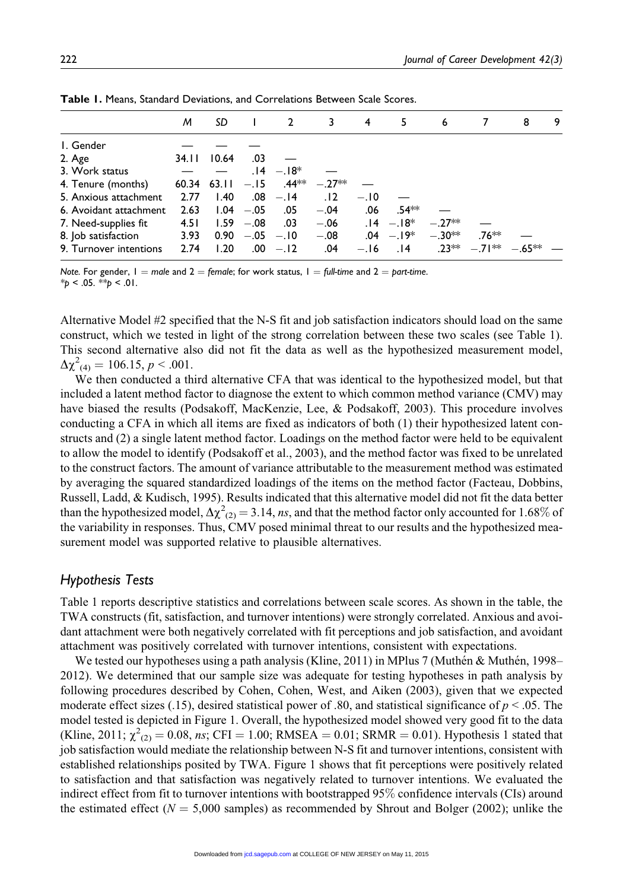|                        | м     | SD    |                  | $\overline{2}$                       | 3        | 4      | 5             | 6        |                           | 8 | 9 |
|------------------------|-------|-------|------------------|--------------------------------------|----------|--------|---------------|----------|---------------------------|---|---|
| I. Gender              |       |       |                  |                                      |          |        |               |          |                           |   |   |
| 2. Age                 | 34.II | 10.64 | .03              |                                      |          |        |               |          |                           |   |   |
| 3. Work status         |       |       |                  | $.14 - .18*$                         |          |        |               |          |                           |   |   |
| 4. Tenure (months)     |       |       |                  | 60.34 63.11 $-.15$ .44 <sup>**</sup> | $-.27**$ |        |               |          |                           |   |   |
| 5. Anxious attachment  | 2.77  | 1.40  |                  | $.08 - 14$                           | .12      | $-.10$ |               |          |                           |   |   |
| 6. Avoidant attachment | 2.63  |       | $1.04 - 0.05$    | .05                                  | $-.04$   | .06    | .54**         |          |                           |   |   |
| 7. Need-supplies fit   | 4.51  |       | $1.59 - 0.08$    | .03                                  | $-.06$   |        | $.14 - .18*$  | $-.27**$ |                           |   |   |
| 8. Job satisfaction    | 3.93  |       | $0.90 -0.05 -10$ |                                      | $-.08$   |        | $.04$ $-.19*$ | $-.30**$ | .76**                     |   |   |
| 9. Turnover intentions | 2.74  | 1.20  |                  | $.00 - 12$                           | .04      | $-.16$ | .14           |          | $.23*** - .71*** - .65**$ |   |   |
|                        |       |       |                  |                                      |          |        |               |          |                           |   |   |

Table 1. Means, Standard Deviations, and Correlations Between Scale Scores.

Note. For gender,  $1 =$  male and  $2 =$  female; for work status,  $1 =$  full-time and  $2 =$  part-time.  $*_{p}$  < .05.  $*_{p}$  < .01.

Alternative Model #2 specified that the N-S fit and job satisfaction indicators should load on the same construct, which we tested in light of the strong correlation between these two scales (see Table 1). This second alternative also did not fit the data as well as the hypothesized measurement model,  $\Delta \chi^2_{(4)} = 106.15, p < .001.$ 

We then conducted a third alternative CFA that was identical to the hypothesized model, but that included a latent method factor to diagnose the extent to which common method variance (CMV) may have biased the results (Podsakoff, MacKenzie, Lee, & Podsakoff, 2003). This procedure involves conducting a CFA in which all items are fixed as indicators of both (1) their hypothesized latent constructs and (2) a single latent method factor. Loadings on the method factor were held to be equivalent to allow the model to identify (Podsakoff et al., 2003), and the method factor was fixed to be unrelated to the construct factors. The amount of variance attributable to the measurement method was estimated by averaging the squared standardized loadings of the items on the method factor (Facteau, Dobbins, Russell, Ladd, & Kudisch, 1995). Results indicated that this alternative model did not fit the data better than the hypothesized model,  $\Delta \chi^2_{(2)} = 3.14$ , ns, and that the method factor only accounted for 1.68% of the variability in responses. Thus, CMV posed minimal threat to our results and the hypothesized measurement model was supported relative to plausible alternatives.

### Hypothesis Tests

Table 1 reports descriptive statistics and correlations between scale scores. As shown in the table, the TWA constructs (fit, satisfaction, and turnover intentions) were strongly correlated. Anxious and avoidant attachment were both negatively correlated with fit perceptions and job satisfaction, and avoidant attachment was positively correlated with turnover intentions, consistent with expectations.

We tested our hypotheses using a path analysis (Kline, 2011) in MPlus 7 (Muthén & Muthén, 1998– 2012). We determined that our sample size was adequate for testing hypotheses in path analysis by following procedures described by Cohen, Cohen, West, and Aiken (2003), given that we expected moderate effect sizes (.15), desired statistical power of .80, and statistical significance of  $p < .05$ . The model tested is depicted in Figure 1. Overall, the hypothesized model showed very good fit to the data (Kline, 2011;  $\chi^2_{(2)} = 0.08$ , ns; CFI = 1.00; RMSEA = 0.01; SRMR = 0.01). Hypothesis 1 stated that job satisfaction would mediate the relationship between N-S fit and turnover intentions, consistent with established relationships posited by TWA. Figure 1 shows that fit perceptions were positively related to satisfaction and that satisfaction was negatively related to turnover intentions. We evaluated the indirect effect from fit to turnover intentions with bootstrapped 95% confidence intervals (CIs) around the estimated effect ( $N = 5,000$  samples) as recommended by Shrout and Bolger (2002); unlike the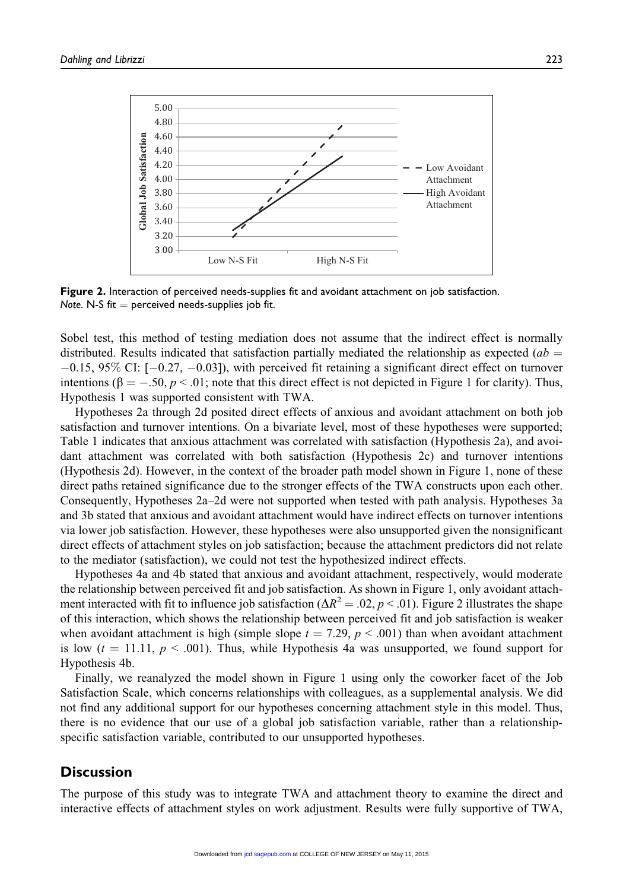

Figure 2. Interaction of perceived needs-supplies fit and avoidant attachment on job satisfaction. Note. N-S fit  $=$  perceived needs-supplies job fit.

Sobel test, this method of testing mediation does not assume that the indirect effect is normally distributed. Results indicated that satisfaction partially mediated the relationship as expected ( $ab =$  $-0.15$ , 95% CI:  $[-0.27, -0.03]$ , with perceived fit retaining a significant direct effect on turnover intentions ( $\beta = -.50, p < .01$ ; note that this direct effect is not depicted in Figure 1 for clarity). Thus, Hypothesis 1 was supported consistent with TWA.

Hypotheses 2a through 2d posited direct effects of anxious and avoidant attachment on both job satisfaction and turnover intentions. On a bivariate level, most of these hypotheses were supported; Table 1 indicates that anxious attachment was correlated with satisfaction (Hypothesis 2a), and avoidant attachment was correlated with both satisfaction (Hypothesis 2c) and turnover intentions (Hypothesis 2d). However, in the context of the broader path model shown in Figure 1, none of these direct paths retained significance due to the stronger effects of the TWA constructs upon each other. Consequently, Hypotheses 2a–2d were not supported when tested with path analysis. Hypotheses 3a and 3b stated that anxious and avoidant attachment would have indirect effects on turnover intentions via lower job satisfaction. However, these hypotheses were also unsupported given the nonsignificant direct effects of attachment styles on job satisfaction; because the attachment predictors did not relate to the mediator (satisfaction), we could not test the hypothesized indirect effects.

Hypotheses 4a and 4b stated that anxious and avoidant attachment, respectively, would moderate the relationship between perceived fit and job satisfaction. As shown in Figure 1, only avoidant attachment interacted with fit to influence job satisfaction ( $\Delta R^2 = .02$ ,  $p < .01$ ). Figure 2 illustrates the shape of this interaction, which shows the relationship between perceived fit and job satisfaction is weaker when avoidant attachment is high (simple slope  $t = 7.29$ ,  $p < .001$ ) than when avoidant attachment is low  $(t = 11.11, p < .001)$ . Thus, while Hypothesis 4a was unsupported, we found support for Hypothesis 4b.

Finally, we reanalyzed the model shown in Figure 1 using only the coworker facet of the Job Satisfaction Scale, which concerns relationships with colleagues, as a supplemental analysis. We did not find any additional support for our hypotheses concerning attachment style in this model. Thus, there is no evidence that our use of a global job satisfaction variable, rather than a relationshipspecific satisfaction variable, contributed to our unsupported hypotheses.

# **Discussion**

The purpose of this study was to integrate TWA and attachment theory to examine the direct and interactive effects of attachment styles on work adjustment. Results were fully supportive of TWA,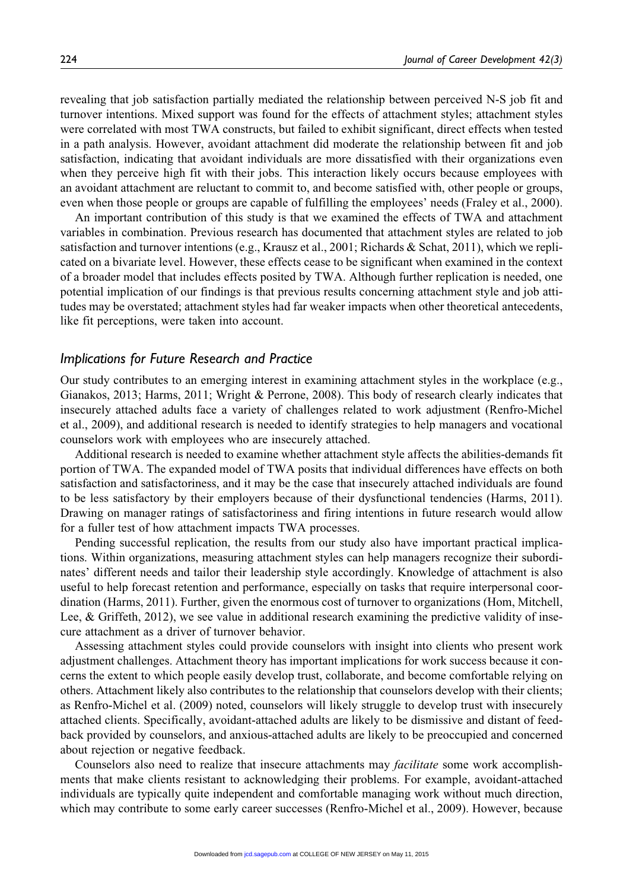revealing that job satisfaction partially mediated the relationship between perceived N-S job fit and turnover intentions. Mixed support was found for the effects of attachment styles; attachment styles were correlated with most TWA constructs, but failed to exhibit significant, direct effects when tested in a path analysis. However, avoidant attachment did moderate the relationship between fit and job satisfaction, indicating that avoidant individuals are more dissatisfied with their organizations even when they perceive high fit with their jobs. This interaction likely occurs because employees with an avoidant attachment are reluctant to commit to, and become satisfied with, other people or groups, even when those people or groups are capable of fulfilling the employees' needs (Fraley et al., 2000).

An important contribution of this study is that we examined the effects of TWA and attachment variables in combination. Previous research has documented that attachment styles are related to job satisfaction and turnover intentions (e.g., Krausz et al., 2001; Richards & Schat, 2011), which we replicated on a bivariate level. However, these effects cease to be significant when examined in the context of a broader model that includes effects posited by TWA. Although further replication is needed, one potential implication of our findings is that previous results concerning attachment style and job attitudes may be overstated; attachment styles had far weaker impacts when other theoretical antecedents, like fit perceptions, were taken into account.

### Implications for Future Research and Practice

Our study contributes to an emerging interest in examining attachment styles in the workplace (e.g., Gianakos, 2013; Harms, 2011; Wright & Perrone, 2008). This body of research clearly indicates that insecurely attached adults face a variety of challenges related to work adjustment (Renfro-Michel et al., 2009), and additional research is needed to identify strategies to help managers and vocational counselors work with employees who are insecurely attached.

Additional research is needed to examine whether attachment style affects the abilities-demands fit portion of TWA. The expanded model of TWA posits that individual differences have effects on both satisfaction and satisfactoriness, and it may be the case that insecurely attached individuals are found to be less satisfactory by their employers because of their dysfunctional tendencies (Harms, 2011). Drawing on manager ratings of satisfactoriness and firing intentions in future research would allow for a fuller test of how attachment impacts TWA processes.

Pending successful replication, the results from our study also have important practical implications. Within organizations, measuring attachment styles can help managers recognize their subordinates' different needs and tailor their leadership style accordingly. Knowledge of attachment is also useful to help forecast retention and performance, especially on tasks that require interpersonal coordination (Harms, 2011). Further, given the enormous cost of turnover to organizations (Hom, Mitchell, Lee, & Griffeth, 2012), we see value in additional research examining the predictive validity of insecure attachment as a driver of turnover behavior.

Assessing attachment styles could provide counselors with insight into clients who present work adjustment challenges. Attachment theory has important implications for work success because it concerns the extent to which people easily develop trust, collaborate, and become comfortable relying on others. Attachment likely also contributes to the relationship that counselors develop with their clients; as Renfro-Michel et al. (2009) noted, counselors will likely struggle to develop trust with insecurely attached clients. Specifically, avoidant-attached adults are likely to be dismissive and distant of feedback provided by counselors, and anxious-attached adults are likely to be preoccupied and concerned about rejection or negative feedback.

Counselors also need to realize that insecure attachments may *facilitate* some work accomplishments that make clients resistant to acknowledging their problems. For example, avoidant-attached individuals are typically quite independent and comfortable managing work without much direction, which may contribute to some early career successes (Renfro-Michel et al., 2009). However, because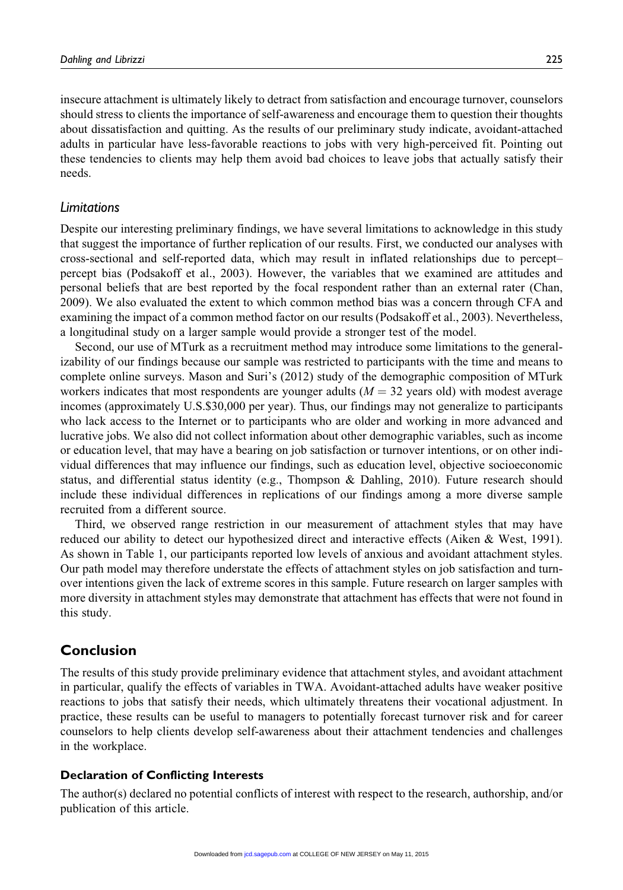insecure attachment is ultimately likely to detract from satisfaction and encourage turnover, counselors should stress to clients the importance of self-awareness and encourage them to question their thoughts about dissatisfaction and quitting. As the results of our preliminary study indicate, avoidant-attached adults in particular have less-favorable reactions to jobs with very high-perceived fit. Pointing out these tendencies to clients may help them avoid bad choices to leave jobs that actually satisfy their needs.

### Limitations

Despite our interesting preliminary findings, we have several limitations to acknowledge in this study that suggest the importance of further replication of our results. First, we conducted our analyses with cross-sectional and self-reported data, which may result in inflated relationships due to percept– percept bias (Podsakoff et al., 2003). However, the variables that we examined are attitudes and personal beliefs that are best reported by the focal respondent rather than an external rater (Chan, 2009). We also evaluated the extent to which common method bias was a concern through CFA and examining the impact of a common method factor on our results (Podsakoff et al., 2003). Nevertheless, a longitudinal study on a larger sample would provide a stronger test of the model.

Second, our use of MTurk as a recruitment method may introduce some limitations to the generalizability of our findings because our sample was restricted to participants with the time and means to complete online surveys. Mason and Suri's (2012) study of the demographic composition of MTurk workers indicates that most respondents are younger adults  $(M = 32 \text{ years old})$  with modest average incomes (approximately U.S.\$30,000 per year). Thus, our findings may not generalize to participants who lack access to the Internet or to participants who are older and working in more advanced and lucrative jobs. We also did not collect information about other demographic variables, such as income or education level, that may have a bearing on job satisfaction or turnover intentions, or on other individual differences that may influence our findings, such as education level, objective socioeconomic status, and differential status identity (e.g., Thompson & Dahling, 2010). Future research should include these individual differences in replications of our findings among a more diverse sample recruited from a different source.

Third, we observed range restriction in our measurement of attachment styles that may have reduced our ability to detect our hypothesized direct and interactive effects (Aiken & West, 1991). As shown in Table 1, our participants reported low levels of anxious and avoidant attachment styles. Our path model may therefore understate the effects of attachment styles on job satisfaction and turnover intentions given the lack of extreme scores in this sample. Future research on larger samples with more diversity in attachment styles may demonstrate that attachment has effects that were not found in this study.

# Conclusion

The results of this study provide preliminary evidence that attachment styles, and avoidant attachment in particular, qualify the effects of variables in TWA. Avoidant-attached adults have weaker positive reactions to jobs that satisfy their needs, which ultimately threatens their vocational adjustment. In practice, these results can be useful to managers to potentially forecast turnover risk and for career counselors to help clients develop self-awareness about their attachment tendencies and challenges in the workplace.

#### Declaration of Conflicting Interests

The author(s) declared no potential conflicts of interest with respect to the research, authorship, and/or publication of this article.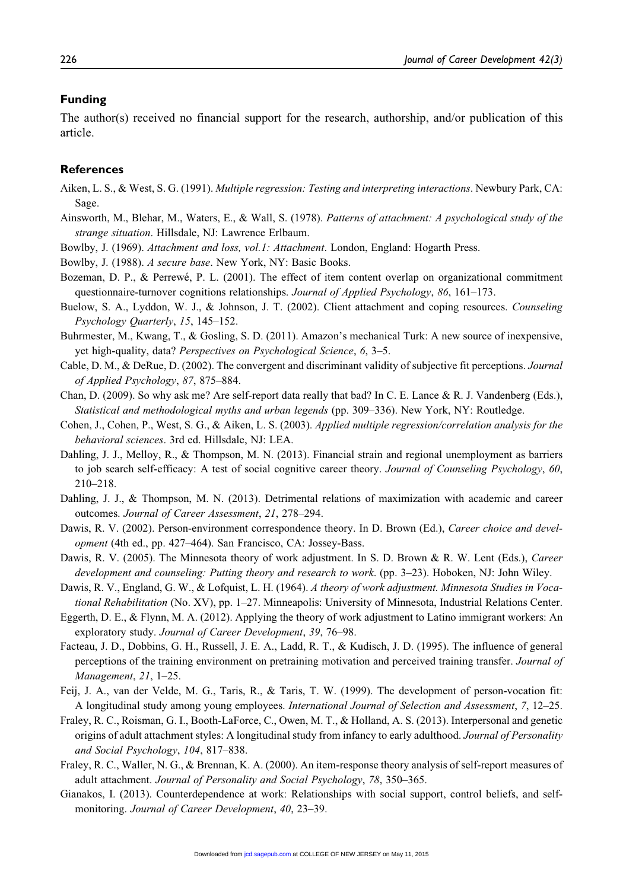### Funding

The author(s) received no financial support for the research, authorship, and/or publication of this article.

### **References**

- Aiken, L. S., & West, S. G. (1991). Multiple regression: Testing and interpreting interactions. Newbury Park, CA: Sage.
- Ainsworth, M., Blehar, M., Waters, E., & Wall, S. (1978). Patterns of attachment: A psychological study of the strange situation. Hillsdale, NJ: Lawrence Erlbaum.
- Bowlby, J. (1969). Attachment and loss, vol.1: Attachment. London, England: Hogarth Press.
- Bowlby, J. (1988). A secure base. New York, NY: Basic Books.
- Bozeman, D. P., & Perrewé, P. L. (2001). The effect of item content overlap on organizational commitment questionnaire-turnover cognitions relationships. Journal of Applied Psychology, 86, 161–173.
- Buelow, S. A., Lyddon, W. J., & Johnson, J. T. (2002). Client attachment and coping resources. Counseling Psychology Quarterly, 15, 145–152.
- Buhrmester, M., Kwang, T., & Gosling, S. D. (2011). Amazon's mechanical Turk: A new source of inexpensive, yet high-quality, data? Perspectives on Psychological Science, 6, 3–5.
- Cable, D. M., & DeRue, D. (2002). The convergent and discriminant validity of subjective fit perceptions. Journal of Applied Psychology, 87, 875–884.
- Chan, D. (2009). So why ask me? Are self-report data really that bad? In C. E. Lance & R. J. Vandenberg (Eds.), Statistical and methodological myths and urban legends (pp. 309–336). New York, NY: Routledge.
- Cohen, J., Cohen, P., West, S. G., & Aiken, L. S. (2003). Applied multiple regression/correlation analysis for the behavioral sciences. 3rd ed. Hillsdale, NJ: LEA.
- Dahling, J. J., Melloy, R., & Thompson, M. N. (2013). Financial strain and regional unemployment as barriers to job search self-efficacy: A test of social cognitive career theory. Journal of Counseling Psychology, 60, 210–218.
- Dahling, J. J., & Thompson, M. N. (2013). Detrimental relations of maximization with academic and career outcomes. Journal of Career Assessment, 21, 278–294.
- Dawis, R. V. (2002). Person-environment correspondence theory. In D. Brown (Ed.), Career choice and development (4th ed., pp. 427–464). San Francisco, CA: Jossey-Bass.
- Dawis, R. V. (2005). The Minnesota theory of work adjustment. In S. D. Brown & R. W. Lent (Eds.), Career development and counseling: Putting theory and research to work. (pp. 3-23). Hoboken, NJ: John Wiley.
- Dawis, R. V., England, G. W., & Lofquist, L. H. (1964). A theory of work adjustment. Minnesota Studies in Vocational Rehabilitation (No. XV), pp. 1-27. Minneapolis: University of Minnesota, Industrial Relations Center.
- Eggerth, D. E., & Flynn, M. A. (2012). Applying the theory of work adjustment to Latino immigrant workers: An exploratory study. Journal of Career Development, 39, 76–98.
- Facteau, J. D., Dobbins, G. H., Russell, J. E. A., Ladd, R. T., & Kudisch, J. D. (1995). The influence of general perceptions of the training environment on pretraining motivation and perceived training transfer. Journal of Management, 21, 1–25.
- Feij, J. A., van der Velde, M. G., Taris, R., & Taris, T. W. (1999). The development of person-vocation fit: A longitudinal study among young employees. International Journal of Selection and Assessment, 7, 12–25.
- Fraley, R. C., Roisman, G. I., Booth-LaForce, C., Owen, M. T., & Holland, A. S. (2013). Interpersonal and genetic origins of adult attachment styles: A longitudinal study from infancy to early adulthood. Journal of Personality and Social Psychology, 104, 817–838.
- Fraley, R. C., Waller, N. G., & Brennan, K. A. (2000). An item-response theory analysis of self-report measures of adult attachment. Journal of Personality and Social Psychology, 78, 350–365.
- Gianakos, I. (2013). Counterdependence at work: Relationships with social support, control beliefs, and selfmonitoring. Journal of Career Development, 40, 23–39.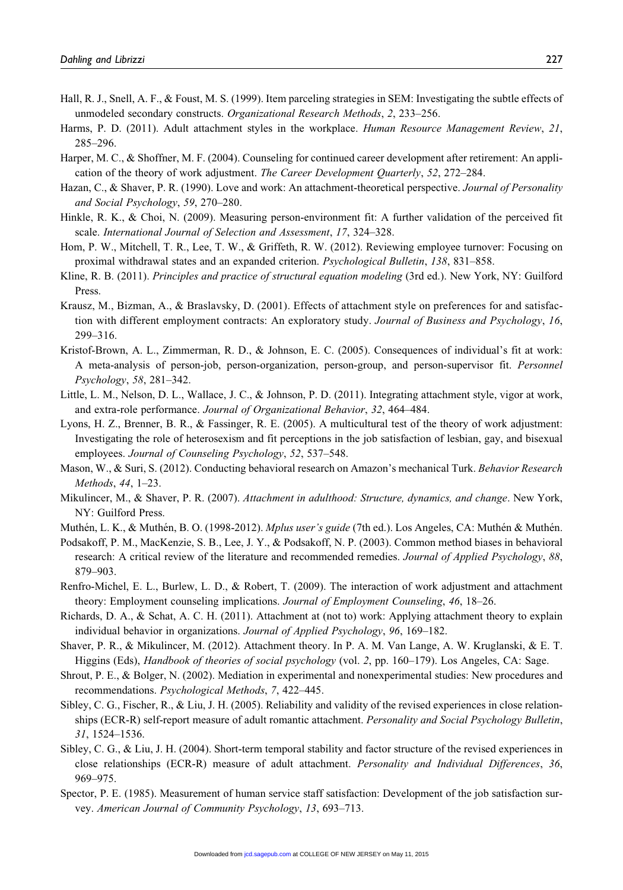- Hall, R. J., Snell, A. F., & Foust, M. S. (1999). Item parceling strategies in SEM: Investigating the subtle effects of unmodeled secondary constructs. Organizational Research Methods, 2, 233–256.
- Harms, P. D. (2011). Adult attachment styles in the workplace. Human Resource Management Review, 21, 285–296.
- Harper, M. C., & Shoffner, M. F. (2004). Counseling for continued career development after retirement: An application of the theory of work adjustment. The Career Development Quarterly, 52, 272–284.
- Hazan, C., & Shaver, P. R. (1990). Love and work: An attachment-theoretical perspective. Journal of Personality and Social Psychology, 59, 270–280.
- Hinkle, R. K., & Choi, N. (2009). Measuring person-environment fit: A further validation of the perceived fit scale. International Journal of Selection and Assessment, 17, 324–328.
- Hom, P. W., Mitchell, T. R., Lee, T. W., & Griffeth, R. W. (2012). Reviewing employee turnover: Focusing on proximal withdrawal states and an expanded criterion. Psychological Bulletin, 138, 831–858.
- Kline, R. B. (2011). Principles and practice of structural equation modeling (3rd ed.). New York, NY: Guilford Press.
- Krausz, M., Bizman, A., & Braslavsky, D. (2001). Effects of attachment style on preferences for and satisfaction with different employment contracts: An exploratory study. Journal of Business and Psychology, 16, 299–316.
- Kristof-Brown, A. L., Zimmerman, R. D., & Johnson, E. C. (2005). Consequences of individual's fit at work: A meta-analysis of person-job, person-organization, person-group, and person-supervisor fit. Personnel Psychology, 58, 281–342.
- Little, L. M., Nelson, D. L., Wallace, J. C., & Johnson, P. D. (2011). Integrating attachment style, vigor at work, and extra-role performance. Journal of Organizational Behavior, 32, 464–484.
- Lyons, H. Z., Brenner, B. R., & Fassinger, R. E. (2005). A multicultural test of the theory of work adjustment: Investigating the role of heterosexism and fit perceptions in the job satisfaction of lesbian, gay, and bisexual employees. Journal of Counseling Psychology, 52, 537–548.
- Mason, W., & Suri, S. (2012). Conducting behavioral research on Amazon's mechanical Turk. Behavior Research Methods, 44, 1–23.
- Mikulincer, M., & Shaver, P. R. (2007). Attachment in adulthood: Structure, dynamics, and change. New York, NY: Guilford Press.
- Muthén, L. K., & Muthén, B. O. (1998-2012). Mplus user's guide (7th ed.). Los Angeles, CA: Muthén & Muthén.
- Podsakoff, P. M., MacKenzie, S. B., Lee, J. Y., & Podsakoff, N. P. (2003). Common method biases in behavioral research: A critical review of the literature and recommended remedies. Journal of Applied Psychology, 88, 879–903.
- Renfro-Michel, E. L., Burlew, L. D., & Robert, T. (2009). The interaction of work adjustment and attachment theory: Employment counseling implications. Journal of Employment Counseling, 46, 18–26.
- Richards, D. A., & Schat, A. C. H. (2011). Attachment at (not to) work: Applying attachment theory to explain individual behavior in organizations. Journal of Applied Psychology, 96, 169–182.
- Shaver, P. R., & Mikulincer, M. (2012). Attachment theory. In P. A. M. Van Lange, A. W. Kruglanski, & E. T. Higgins (Eds), Handbook of theories of social psychology (vol. 2, pp. 160–179). Los Angeles, CA: Sage.
- Shrout, P. E., & Bolger, N. (2002). Mediation in experimental and nonexperimental studies: New procedures and recommendations. Psychological Methods, 7, 422–445.
- Sibley, C. G., Fischer, R., & Liu, J. H. (2005). Reliability and validity of the revised experiences in close relationships (ECR-R) self-report measure of adult romantic attachment. Personality and Social Psychology Bulletin, 31, 1524–1536.
- Sibley, C. G., & Liu, J. H. (2004). Short-term temporal stability and factor structure of the revised experiences in close relationships (ECR-R) measure of adult attachment. Personality and Individual Differences, 36, 969–975.
- Spector, P. E. (1985). Measurement of human service staff satisfaction: Development of the job satisfaction survey. American Journal of Community Psychology, 13, 693–713.